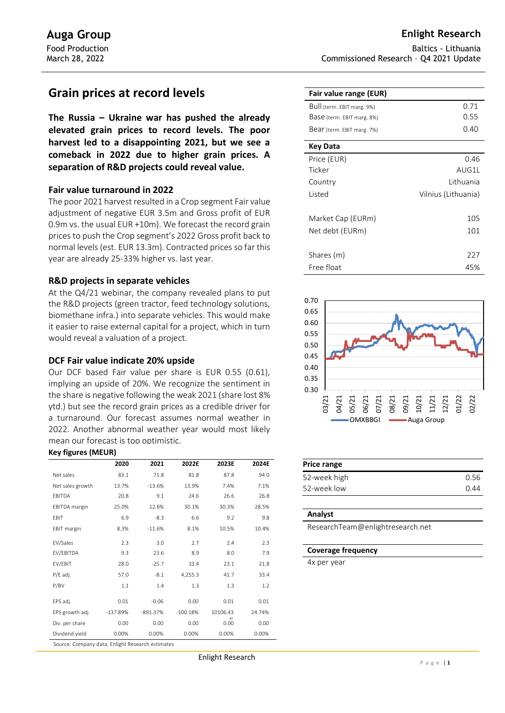# **Grain prices at record levels**

**The Russia – Ukraine war has pushed the already elevated grain prices to record levels. The poor harvest led to a disappointing 2021, but we see a comeback in 2022 due to higher grain prices. A separation of R&D projects could reveal value.** 

# **Fair value turnaround in 2022**

The poor 2021 harvest resulted in a Crop segment Fair value adjustment of negative EUR 3.5m and Gross profit of EUR 0.9m vs. the usual EUR +10m). We forecast the record grain prices to push the Crop segment's 2022 Gross profit back to normal levels (est. EUR 13.3m). Contracted prices so far this year are already 25-33% higher vs. last year.

# **R&D projects in separate vehicles**

At the Q4/21 webinar, the company revealed plans to put the R&D projects (green tractor, feed technology solutions, biomethane infra.) into separate vehicles. This would make it easier to raise external capital for a project, which in turn would reveal a valuation of a project.

# **DCF Fair value indicate 20% upside**

Our DCF based Fair value per share is EUR 0.55 (0.61), implying an upside of 20%. We recognize the sentiment in the share is negative following the weak 2021 (share lost 8% ytd.) but see the record grain prices as a credible driver for a turnaround. Our forecast assumes normal weather in 2022. Another abnormal weather year would most likely mean our forecast is too optimistic.

### **Key figures (MEUR)**

|                                                  | 2020       | 2021       | 2022E      | 2023E            | 2024E  |  |  |
|--------------------------------------------------|------------|------------|------------|------------------|--------|--|--|
| Net sales                                        | 83.1       | 71.8       | 81.8       | 87.8             | 94.0   |  |  |
| Net sales growth                                 | 13.7%      | $-13.6%$   | 13.9%      | 7.4%             | 7.1%   |  |  |
| EBITDA                                           | 20.8       | 9.1        | 24.6       | 26.6             | 26.8   |  |  |
| <b>EBITDA</b> margin                             | 25.0%      | 12.6%      | 30.1%      | 30.3%            | 28.5%  |  |  |
| EBIT                                             | 6.9        | $-8.3$     | 6.6        | 9.2              | 9.8    |  |  |
| <b>EBIT</b> margin                               | 8.3%       | $-11.6%$   | 8.1%       | 10.5%            | 10.4%  |  |  |
| EV/Sales                                         | 2.3        | 3.0        | 2.7        | 2.4              | 2.3    |  |  |
| EV/EBITDA                                        | 9.3        | 23.6       | 8.9        | 8.0              | 7.9    |  |  |
| EV/EBIT                                          | 28.0       | $-25.7$    | 33.4       | 23.1             | 21.8   |  |  |
| P/E adj.                                         | 57.0       | $-8.1$     | 4,255.3    | 41.7             | 33.4   |  |  |
| P/BV                                             | 1.1        | 1.4        | 1.3        | 1.3              | 1.2    |  |  |
| EPS adj.                                         | 0.01       | $-0.06$    | 0.00       | 0.01             | 0.01   |  |  |
| EPS growth adj.                                  | $-137.89%$ | $-891.37%$ | $-100.18%$ | 10106.43         | 24.74% |  |  |
| Div. per share                                   | 0.00       | 0.00       | 0.00       | $\Omega$<br>0.00 | 0.00   |  |  |
| Dividend yield                                   | 0.00%      | 0.00%      | 0.00%      | 0.00%            | 0.00%  |  |  |
| Source: Company data, Enlight Research estimates |            |            |            |                  |        |  |  |

Baltics - Lithuania Commissioned Research – Q4 2021 Update

| Fair value range (EUR)     |                     |
|----------------------------|---------------------|
| Bull (term. EBIT marg. 9%) | 0.71                |
| Base (term. EBIT marg. 8%) | 0.55                |
| Bear (term. EBIT marg. 7%) | 0.40                |
| Key Data                   |                     |
| Price (EUR)                | 0.46                |
| Ticker                     | AUG1L               |
| Country                    | Lithuania           |
| Listed                     | Vilnius (Lithuania) |
|                            |                     |
| Market Cap (EURm)          | 105                 |
| Net debt (EURm)            | 101                 |
|                            |                     |
| Shares (m)                 | 227                 |
| Free float                 | 45%                 |



| Price range  |      |
|--------------|------|
| 52-week high | 0.56 |
| 52-week low  | በ 44 |

#### **Analyst**

ResearchTeam@enlightresearch.net

### **Coverage frequency**

4x per year

Enlight Research jdsj f;djsfk jdkjas fjasdf; j;dlfj;lasjf;ldkjflkjd;lfj;lajf;l jfj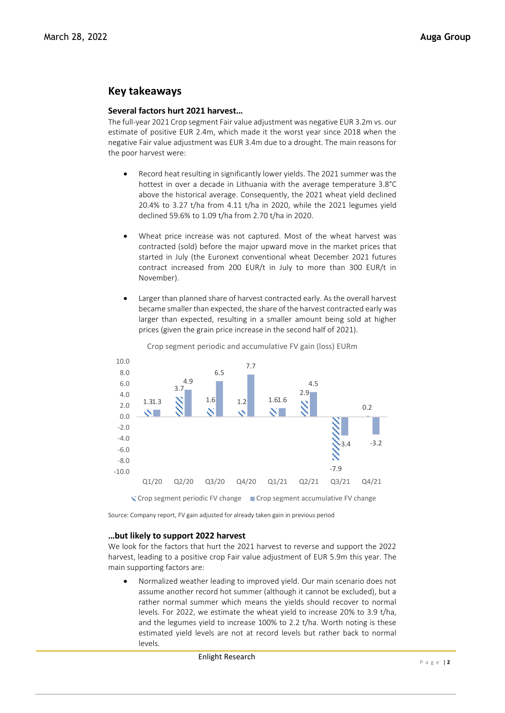# **Key takeaways**

# **Several factors hurt 2021 harvest…**

The full-year 2021 Crop segment Fair value adjustment was negative EUR 3.2m vs. our estimate of positive EUR 2.4m, which made it the worst year since 2018 when the negative Fair value adjustment was EUR 3.4m due to a drought. The main reasons for the poor harvest were:

- Record heat resulting in significantly lower yields. The 2021 summer was the hottest in over a decade in Lithuania with the average temperature 3.8°C above the historical average. Consequently, the 2021 wheat yield declined 20.4% to 3.27 t/ha from 4.11 t/ha in 2020, while the 2021 legumes yield declined 59.6% to 1.09 t/ha from 2.70 t/ha in 2020.
- Wheat price increase was not captured. Most of the wheat harvest was contracted (sold) before the major upward move in the market prices that started in July (the Euronext conventional wheat December 2021 futures contract increased from 200 EUR/t in July to more than 300 EUR/t in November).
- Larger than planned share of harvest contracted early. As the overall harvest became smaller than expected, the share of the harvest contracted early was larger than expected, resulting in a smaller amount being sold at higher prices (given the grain price increase in the second half of 2021).



Crop segment periodic and accumulative FV gain (loss) EURm

Source: Company report, FV gain adjusted for already taken gain in previous period

## **…but likely to support 2022 harvest**

We look for the factors that hurt the 2021 harvest to reverse and support the 2022 harvest, leading to a positive crop Fair value adjustment of EUR 5.9m this year. The main supporting factors are:

• Normalized weather leading to improved yield. Our main scenario does not assume another record hot summer (although it cannot be excluded), but a rather normal summer which means the yields should recover to normal levels. For 2022, we estimate the wheat yield to increase 20% to 3.9 t/ha, and the legumes yield to increase 100% to 2.2 t/ha. Worth noting is these estimated yield levels are not at record levels but rather back to normal levels.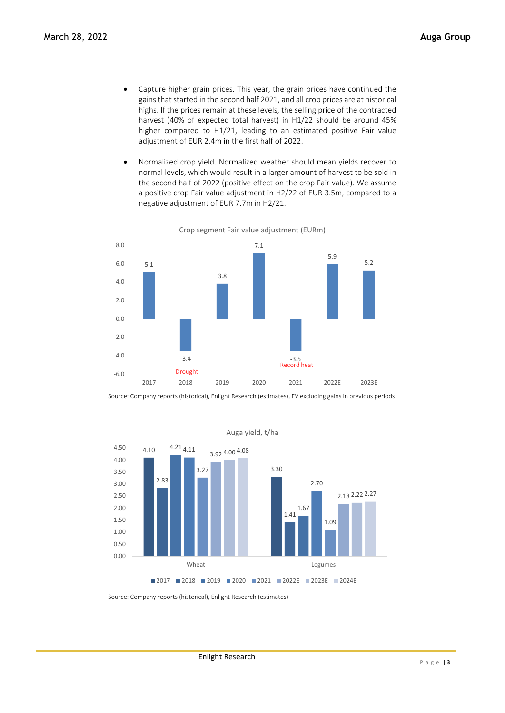- Capture higher grain prices. This year, the grain prices have continued the gains that started in the second half 2021, and all crop prices are at historical highs. If the prices remain at these levels, the selling price of the contracted harvest (40% of expected total harvest) in H1/22 should be around 45% higher compared to H1/21, leading to an estimated positive Fair value adjustment of EUR 2.4m in the first half of 2022.
- Normalized crop yield. Normalized weather should mean yields recover to normal levels, which would result in a larger amount of harvest to be sold in the second half of 2022 (positive effect on the crop Fair value). We assume a positive crop Fair value adjustment in H2/22 of EUR 3.5m, compared to a negative adjustment of EUR 7.7m in H2/21.



Crop segment Fair value adjustment (EURm)

Source: Company reports (historical), Enlight Research (estimates), FV excluding gains in previous periods



Auga yield, t/ha

Enlight Research

Source: Company reports (historical), Enlight Research (estimates)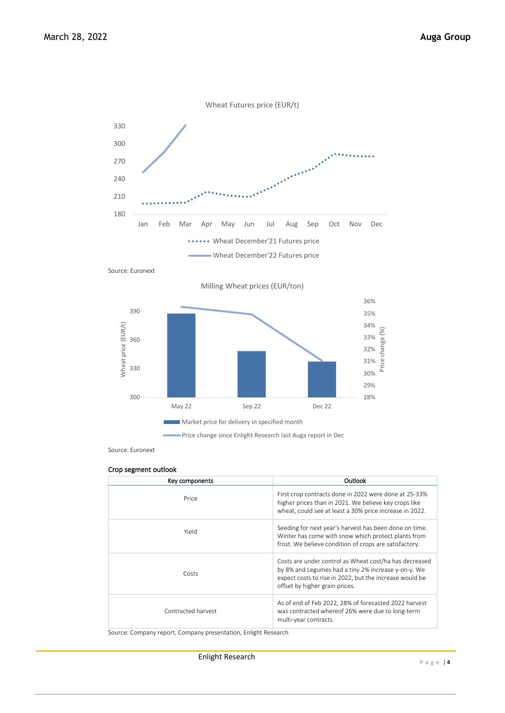

Source: Euronext



Source: Euronext

### Crop segment outlook

| Key components     | Outlook                                                                                                                                                                                                    |
|--------------------|------------------------------------------------------------------------------------------------------------------------------------------------------------------------------------------------------------|
| Price              | First crop contracts done in 2022 were done at 25-33%<br>higher prices than in 2021. We believe key crops like<br>wheat, could see at least a 30% price increase in 2022.                                  |
| Yield              | Seeding for next year's harvest has been done on time.<br>Winter has come with snow which protect plants from<br>frost. We believe condition of crops are satisfactory.                                    |
| Costs              | Costs are under control as Wheat cost/ha has decreased<br>by 8% and Legumes had a tiny 2% increase y-on-y. We<br>expect costs to rise in 2022, but the increase would be<br>offset by higher grain prices. |
| Contracted harvest | As of end of Feb 2022, 28% of forecasted 2022 harvest<br>was contracted whereof 26% were due to long-term<br>multi-year contracts.                                                                         |

Source: Company report, Company presentation, Enlight Research

Enlight Research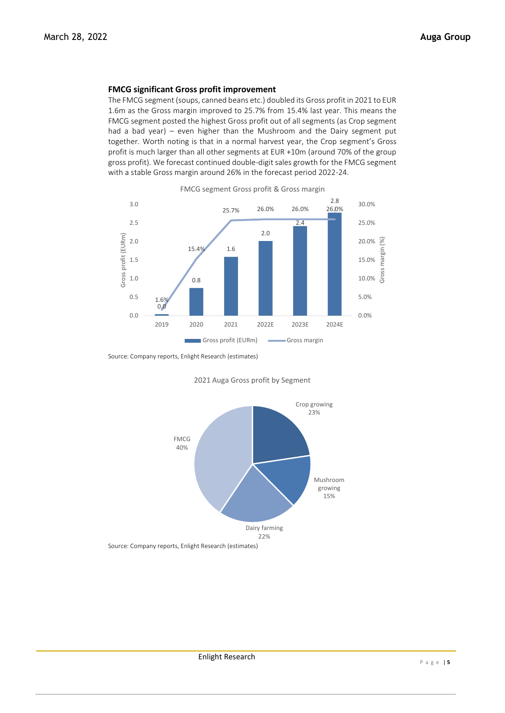# **FMCG significant Gross profit improvement**

The FMCG segment (soups, canned beans etc.) doubled its Gross profit in 2021 to EUR 1.6m as the Gross margin improved to 25.7% from 15.4% last year. This means the FMCG segment posted the highest Gross profit out of all segments (as Crop segment had a bad year) – even higher than the Mushroom and the Dairy segment put together. Worth noting is that in a normal harvest year, the Crop segment's Gross profit is much larger than all other segments at EUR +10m (around 70% of the group gross profit). We forecast continued double-digit sales growth for the FMCG segment with a stable Gross margin around 26% in the forecast period 2022-24.



Source: Company reports, Enlight Research (estimates)



2021 Auga Gross profit by Segment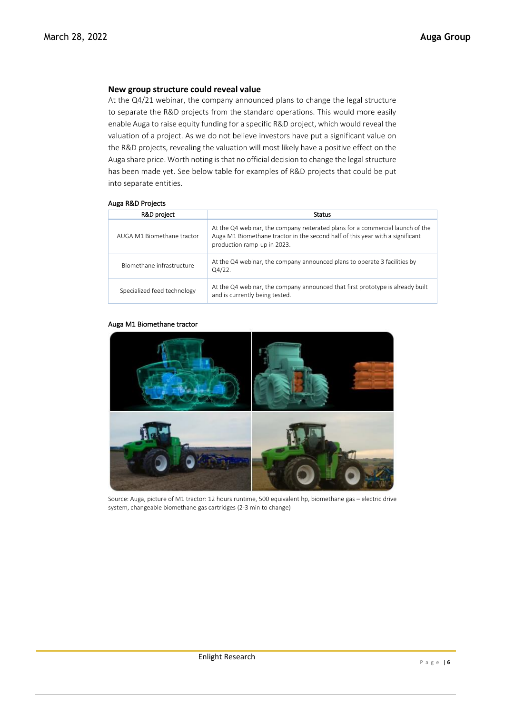## **New group structure could reveal value**

At the Q4/21 webinar, the company announced plans to change the legal structure to separate the R&D projects from the standard operations. This would more easily enable Auga to raise equity funding for a specific R&D project, which would reveal the valuation of a project. As we do not believe investors have put a significant value on the R&D projects, revealing the valuation will most likely have a positive effect on the Auga share price. Worth noting is that no official decision to change the legal structure has been made yet. See below table for examples of R&D projects that could be put into separate entities.

## Auga R&D Projects

| R&D project                 | <b>Status</b>                                                                                                                                                                                  |
|-----------------------------|------------------------------------------------------------------------------------------------------------------------------------------------------------------------------------------------|
| AUGA M1 Biomethane tractor  | At the Q4 webinar, the company reiterated plans for a commercial launch of the<br>Auga M1 Biomethane tractor in the second half of this year with a significant<br>production ramp-up in 2023. |
| Biomethane infrastructure   | At the Q4 webinar, the company announced plans to operate 3 facilities by<br>Q4/22.                                                                                                            |
| Specialized feed technology | At the Q4 webinar, the company announced that first prototype is already built<br>and is currently being tested.                                                                               |

#### Auga M1 Biomethane tractor



Source: Auga, picture of M1 tractor: 12 hours runtime, 500 equivalent hp, biomethane gas – electric drive system, changeable biomethane gas cartridges (2-3 min to change)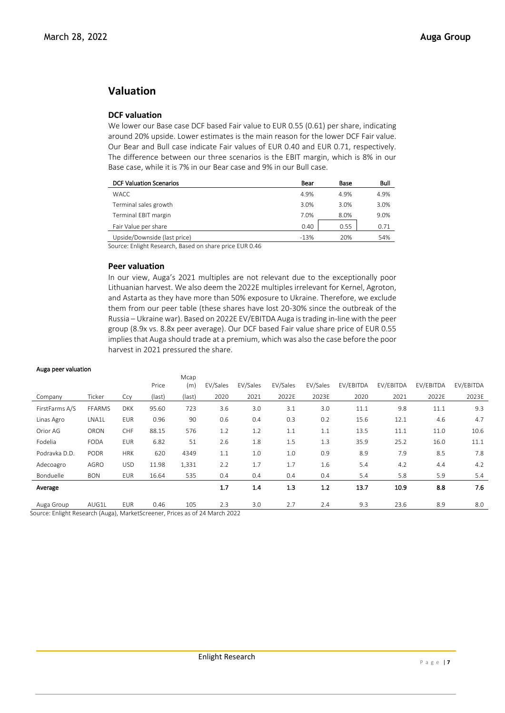# **Valuation**

# **DCF valuation**

We lower our Base case DCF based Fair value to EUR 0.55 (0.61) per share, indicating around 20% upside. Lower estimates is the main reason for the lower DCF Fair value. Our Bear and Bull case indicate Fair values of EUR 0.40 and EUR 0.71, respectively. The difference between our three scenarios is the EBIT margin, which is 8% in our Base case, while it is 7% in our Bear case and 9% in our Bull case.

| <b>DCF Valuation Scenarios</b> | Bear   | Base | Bull |
|--------------------------------|--------|------|------|
| <b>WACC</b>                    | 4.9%   | 4.9% | 4.9% |
| Terminal sales growth          | 3.0%   | 3.0% | 3.0% |
| Terminal EBIT margin           | 7.0%   | 8.0% | 9.0% |
| Fair Value per share           | 0.40   | 0.55 | 0.71 |
| Upside/Downside (last price)   | $-13%$ | 20%  | 54%  |

Source: Enlight Research, Based on share price EUR 0.46

## **Peer valuation**

In our view, Auga's 2021 multiples are not relevant due to the exceptionally poor Lithuanian harvest. We also deem the 2022E multiples irrelevant for Kernel, Agroton, and Astarta as they have more than 50% exposure to Ukraine. Therefore, we exclude them from our peer table (these shares have lost 20-30% since the outbreak of the Russia – Ukraine war). Based on 2022E EV/EBITDA Auga is trading in-line with the peer group (8.9x vs. 8.8x peer average). Our DCF based Fair value share price of EUR 0.55 implies that Auga should trade at a premium, which was also the case before the poor harvest in 2021 pressured the share.

#### Auga peer valuation

|                |               |            |        | Mcap   |          |          |          |          |           |           |           |           |
|----------------|---------------|------------|--------|--------|----------|----------|----------|----------|-----------|-----------|-----------|-----------|
|                |               |            | Price  | (m)    | EV/Sales | EV/Sales | EV/Sales | EV/Sales | EV/EBITDA | EV/EBITDA | EV/EBITDA | EV/EBITDA |
| Company        | Ticker        | Ccy        | (last) | (last) | 2020     | 2021     | 2022E    | 2023E    | 2020      | 2021      | 2022E     | 2023E     |
| FirstFarms A/S | <b>FFARMS</b> | <b>DKK</b> | 95.60  | 723    | 3.6      | 3.0      | 3.1      | 3.0      | 11.1      | 9.8       | 11.1      | 9.3       |
| Linas Agro     | LNA1L         | <b>EUR</b> | 0.96   | 90     | 0.6      | 0.4      | 0.3      | 0.2      | 15.6      | 12.1      | 4.6       | 4.7       |
| Orior AG       | ORON          | CHF        | 88.15  | 576    | 1.2      | 1.2      | 1.1      | 1.1      | 13.5      | 11.1      | 11.0      | 10.6      |
| Fodelia        | <b>FODA</b>   | <b>EUR</b> | 6.82   | 51     | 2.6      | 1.8      | 1.5      | 1.3      | 35.9      | 25.2      | 16.0      | 11.1      |
| Podravka D.D.  | <b>PODR</b>   | <b>HRK</b> | 620    | 4349   | 1.1      | 1.0      | 1.0      | 0.9      | 8.9       | 7.9       | 8.5       | 7.8       |
| Adecoagro      | AGRO          | <b>USD</b> | 11.98  | 1,331  | 2.2      | 1.7      | 1.7      | 1.6      | 5.4       | 4.2       | 4.4       | 4.2       |
| Bonduelle      | <b>BON</b>    | <b>EUR</b> | 16.64  | 535    | 0.4      | 0.4      | 0.4      | 0.4      | 5.4       | 5.8       | 5.9       | 5.4       |
| Average        |               |            |        |        | 1.7      | 1.4      | 1.3      | 1.2      | 13.7      | 10.9      | 8.8       | 7.6       |
| Auga Group     | AUG1L         | <b>EUR</b> | 0.46   | 105    | 2.3      | 3.0      | 2.7      | 2.4      | 9.3       | 23.6      | 8.9       | 8.0       |

Source: Enlight Research (Auga), MarketScreener, Prices as of 24 March 2022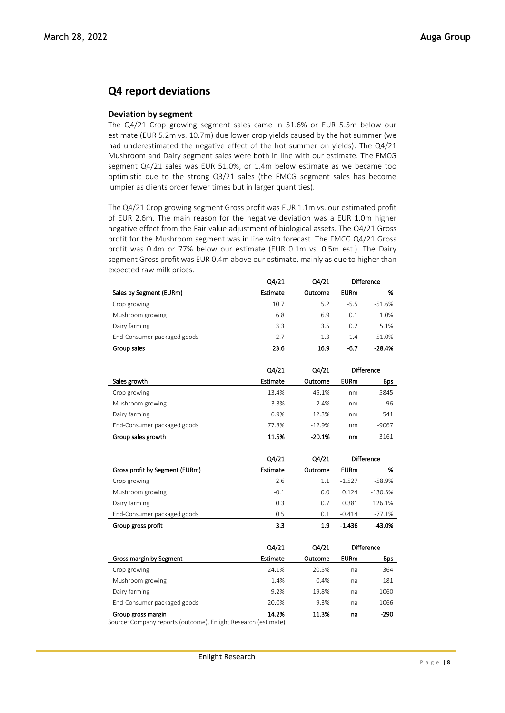# **Q4 report deviations**

## **Deviation by segment**

The Q4/21 Crop growing segment sales came in 51.6% or EUR 5.5m below our estimate (EUR 5.2m vs. 10.7m) due lower crop yields caused by the hot summer (we had underestimated the negative effect of the hot summer on yields). The Q4/21 Mushroom and Dairy segment sales were both in line with our estimate. The FMCG segment Q4/21 sales was EUR 51.0%, or 1.4m below estimate as we became too optimistic due to the strong Q3/21 sales (the FMCG segment sales has become lumpier as clients order fewer times but in larger quantities).

The Q4/21 Crop growing segment Gross profit was EUR 1.1m vs. our estimated profit of EUR 2.6m. The main reason for the negative deviation was a EUR 1.0m higher negative effect from the Fair value adjustment of biological assets. The Q4/21 Gross profit for the Mushroom segment was in line with forecast. The FMCG Q4/21 Gross profit was 0.4m or 77% below our estimate (EUR 0.1m vs. 0.5m est.). The Dairy segment Gross profit was EUR 0.4m above our estimate, mainly as due to higher than expected raw milk prices.

|                             | Q4/21    | Q4/21   |             | <b>Difference</b> |
|-----------------------------|----------|---------|-------------|-------------------|
| Sales by Segment (EURm)     | Estimate | Outcome | <b>EURm</b> | %                 |
| Crop growing                | 10.7     | 5.2     | $-5.5$      | $-51.6%$          |
| Mushroom growing            | 6.8      | 6.9     | 0.1         | 1.0%              |
| Dairy farming               | 3.3      | 3.5     | 0.2         | 5.1%              |
| End-Consumer packaged goods | 7.7      | 1.3     | $-1.4$      | $-51.0%$          |
| Group sales                 | 23.6     | 16.9    | -6.7        | $-28.4%$          |

|                             | Q4/21    | Q4/21    | <b>Difference</b> |            |
|-----------------------------|----------|----------|-------------------|------------|
| Sales growth                | Estimate | Outcome  | <b>EURm</b>       | <b>Bps</b> |
| Crop growing                | 13.4%    | $-45.1%$ | nm                | $-5845$    |
| Mushroom growing            | $-3.3%$  | $-2.4%$  | nm                | 96         |
| Dairy farming               | 6.9%     | 12.3%    | nm                | 541        |
| End-Consumer packaged goods | 77.8%    | $-12.9%$ | nm                | $-9067$    |
| Group sales growth          | 11.5%    | $-20.1%$ | nm                | $-3161$    |

|                                | Q4/21    | Q4/21   |             | <b>Difference</b> |
|--------------------------------|----------|---------|-------------|-------------------|
| Gross profit by Segment (EURm) | Estimate | Outcome | <b>EURm</b> | %                 |
| Crop growing                   | 2.6      | 1.1     | $-1.527$    | $-58.9%$          |
| Mushroom growing               | $-0.1$   | 0.0     | 0.124       | $-130.5%$         |
| Dairy farming                  | 0.3      | 0.7     | 0.381       | 126.1%            |
| End-Consumer packaged goods    | 0.5      | 0.1     | $-0.414$    | $-77.1%$          |
| Group gross profit             | 3.3      | 1.9     | $-1.436$    | $-43.0%$          |

|                             | Q4/21    | Q4/21   | <b>Difference</b> |            |
|-----------------------------|----------|---------|-------------------|------------|
| Gross margin by Segment     | Estimate | Outcome | <b>EURm</b>       | <b>Bps</b> |
| Crop growing                | 24.1%    | 20.5%   | na                | $-364$     |
| Mushroom growing            | $-1.4%$  | 0.4%    | na                | 181        |
| Dairy farming               | 9.2%     | 19.8%   | na                | 1060       |
| End-Consumer packaged goods | 20.0%    | 9.3%    | na                | $-1066$    |
| Group gross margin          | 14.2%    | 11.3%   | na                | -290       |

Source: Company reports (outcome), Enlight Research (estimate)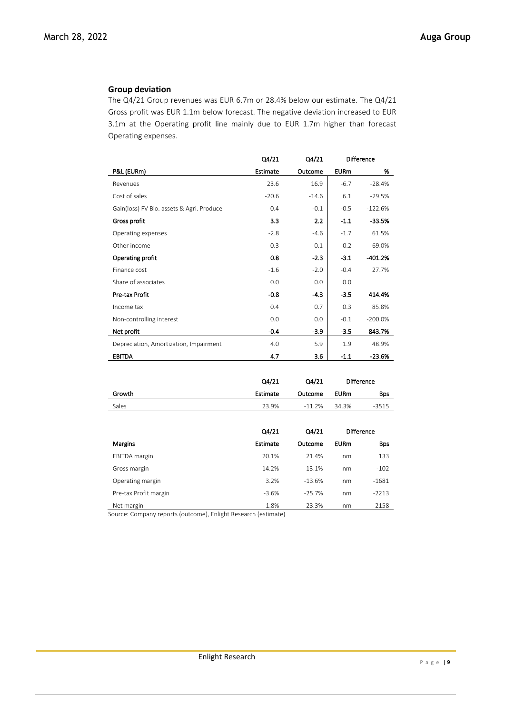# **Group deviation**

The Q4/21 Group revenues was EUR 6.7m or 28.4% below our estimate. The Q4/21 Gross profit was EUR 1.1m below forecast. The negative deviation increased to EUR 3.1m at the Operating profit line mainly due to EUR 1.7m higher than forecast Operating expenses.

|                                           | Q4/21    | Q4/21   |             | <b>Difference</b> |
|-------------------------------------------|----------|---------|-------------|-------------------|
| P&L (EURm)                                | Estimate | Outcome | <b>EURm</b> | %                 |
| Revenues                                  | 23.6     | 16.9    | $-6.7$      | $-28.4%$          |
| Cost of sales                             | $-20.6$  | $-14.6$ | 6.1         | $-29.5%$          |
| Gain(loss) FV Bio. assets & Agri. Produce | 0.4      | $-0.1$  | $-0.5$      | $-122.6%$         |
| Gross profit                              | 3.3      | 2.2     | $-1.1$      | $-33.5%$          |
| Operating expenses                        | $-2.8$   | $-4.6$  | $-1.7$      | 61.5%             |
| Other income                              | 0.3      | 0.1     | $-0.2$      | $-69.0%$          |
| Operating profit                          | 0.8      | $-2.3$  | $-3.1$      | $-401.2%$         |
| Finance cost                              | $-1.6$   | $-2.0$  | $-0.4$      | 27.7%             |
| Share of associates                       | 0.0      | 0.0     | 0.0         |                   |
| Pre-tax Profit                            | $-0.8$   | $-4.3$  | $-3.5$      | 414.4%            |
| Income tax                                | 0.4      | 0.7     | 0.3         | 85.8%             |
| Non-controlling interest                  | 0.0      | 0.0     | $-0.1$      | $-200.0%$         |
| Net profit                                | $-0.4$   | -3.9    | $-3.5$      | 843.7%            |
| Depreciation, Amortization, Impairment    | 4.0      | 5.9     | 1.9         | 48.9%             |
| <b>EBITDA</b>                             | 4.7      | 3.6     | $-1.1$      | $-23.6%$          |

|        | Q4/21    | Q4/21    |             | <b>Difference</b> |
|--------|----------|----------|-------------|-------------------|
| Growth | Estimate | Outcome  | <b>EURm</b> | Bps               |
| Sales  | 23.9%    | $-11.2%$ | 34.3%       | $-3515$           |

|                       | Q4/21           | Q4/21    |             | <b>Difference</b> |
|-----------------------|-----------------|----------|-------------|-------------------|
| Margins               | <b>Estimate</b> | Outcome  | <b>EURm</b> | <b>Bps</b>        |
| <b>EBITDA</b> margin  | 20.1%           | 21.4%    | nm          | 133               |
| Gross margin          | 14.2%           | 13.1%    | nm          | $-102$            |
| Operating margin      | 3.2%            | $-13.6%$ | nm          | $-1681$           |
| Pre-tax Profit margin | $-3.6%$         | $-25.7%$ | nm          | $-2213$           |
| Net margin            | $-1.8%$         | $-23.3%$ | nm          | $-2158$           |

Source: Company reports (outcome), Enlight Research (estimate)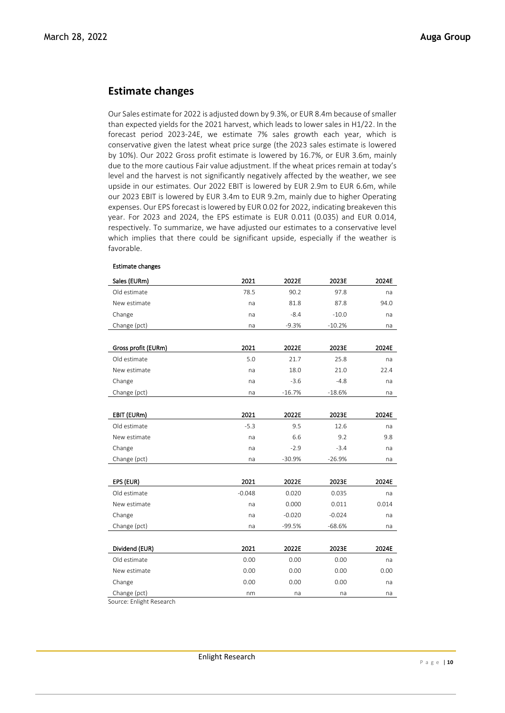# **Estimate changes**

Our Sales estimate for 2022 is adjusted down by 9.3%, or EUR 8.4m because of smaller than expected yields for the 2021 harvest, which leads to lower sales in H1/22. In the forecast period 2023-24E, we estimate 7% sales growth each year, which is conservative given the latest wheat price surge (the 2023 sales estimate is lowered by 10%). Our 2022 Gross profit estimate is lowered by 16.7%, or EUR 3.6m, mainly due to the more cautious Fair value adjustment. If the wheat prices remain at today's level and the harvest is not significantly negatively affected by the weather, we see upside in our estimates. Our 2022 EBIT is lowered by EUR 2.9m to EUR 6.6m, while our 2023 EBIT is lowered by EUR 3.4m to EUR 9.2m, mainly due to higher Operating expenses. Our EPS forecast is lowered by EUR 0.02 for 2022, indicating breakeven this year. For 2023 and 2024, the EPS estimate is EUR 0.011 (0.035) and EUR 0.014, respectively. To summarize, we have adjusted our estimates to a conservative level which implies that there could be significant upside, especially if the weather is favorable.

| Sales (EURm)        | 2021     | 2022E    | 2023E    | 2024E |
|---------------------|----------|----------|----------|-------|
| Old estimate        | 78.5     | 90.2     | 97.8     | na    |
| New estimate        | na       | 81.8     | 87.8     | 94.0  |
| Change              | na       | $-8.4$   | $-10.0$  | na    |
| Change (pct)        | na       | $-9.3%$  | $-10.2%$ | na    |
|                     |          |          |          |       |
| Gross profit (EURm) | 2021     | 2022E    | 2023E    | 2024E |
| Old estimate        | 5.0      | 21.7     | 25.8     | na    |
| New estimate        | na       | 18.0     | 21.0     | 22.4  |
| Change              | na       | $-3.6$   | $-4.8$   | na    |
| Change (pct)        | na       | $-16.7%$ | $-18.6%$ | na    |
|                     |          |          |          |       |
| EBIT (EURm)         | 2021     | 2022E    | 2023E    | 2024E |
| Old estimate        | $-5.3$   | 9.5      | 12.6     | na    |
| New estimate        | na       | 6.6      | 9.2      | 9.8   |
| Change              | na       | $-2.9$   | $-3.4$   | na    |
| Change (pct)        | na       | $-30.9%$ | $-26.9%$ | na    |
|                     |          |          |          |       |
| EPS (EUR)           | 2021     | 2022E    | 2023E    | 2024E |
| Old estimate        | $-0.048$ | 0.020    | 0.035    | na    |
| New estimate        | na       | 0.000    | 0.011    | 0.014 |
| Change              | na       | $-0.020$ | $-0.024$ | na    |
| Change (pct)        | na       | -99.5%   | $-68.6%$ | na    |
|                     |          |          |          |       |
| Dividend (EUR)      | 2021     | 2022E    | 2023E    | 2024E |
| Old estimate        | 0.00     | 0.00     | 0.00     | na    |
| New estimate        | 0.00     | 0.00     | 0.00     | 0.00  |
| Change              | 0.00     | 0.00     | 0.00     | na    |
| Change (pct)        | nm       | na       | na       | na    |

## Estimate changes

Source: Enlight Research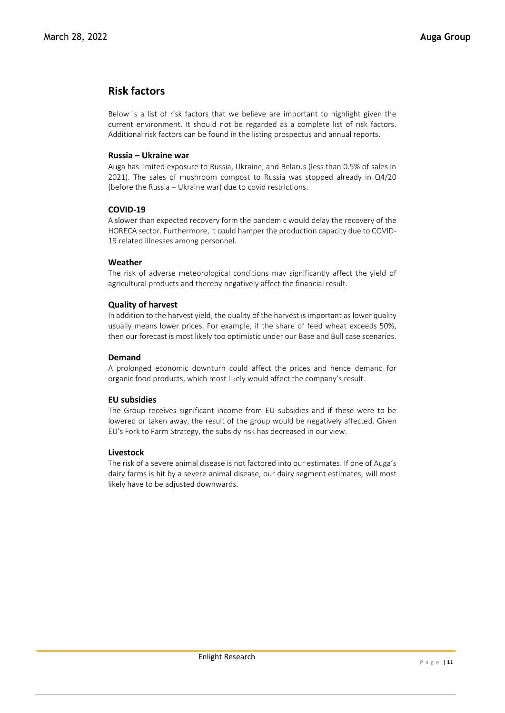# **Risk factors**

Below is a list of risk factors that we believe are important to highlight given the current environment. It should not be regarded as a complete list of risk factors. Additional risk factors can be found in the listing prospectus and annual reports.

# **Russia – Ukraine war**

Auga has limited exposure to Russia, Ukraine, and Belarus (less than 0.5% of sales in 2021). The sales of mushroom compost to Russia was stopped already in Q4/20 (before the Russia – Ukraine war) due to covid restrictions.

# **COVID-19**

A slower than expected recovery form the pandemic would delay the recovery of the HORECA sector. Furthermore, it could hamper the production capacity due to COVID-19 related illnesses among personnel.

# **Weather**

The risk of adverse meteorological conditions may significantly affect the yield of agricultural products and thereby negatively affect the financial result.

# **Quality of harvest**

In addition to the harvest yield, the quality of the harvest is important as lower quality usually means lower prices. For example, if the share of feed wheat exceeds 50%, then our forecast is most likely too optimistic under our Base and Bull case scenarios.

## **Demand**

A prolonged economic downturn could affect the prices and hence demand for organic food products, which most likely would affect the company's result.

## **EU subsidies**

The Group receives significant income from EU subsidies and if these were to be lowered or taken away, the result of the group would be negatively affected. Given EU's Fork to Farm Strategy, the subsidy risk has decreased in our view.

## **Livestock**

The risk of a severe animal disease is not factored into our estimates. If one of Auga's dairy farms is hit by a severe animal disease, our dairy segment estimates, will most likely have to be adjusted downwards.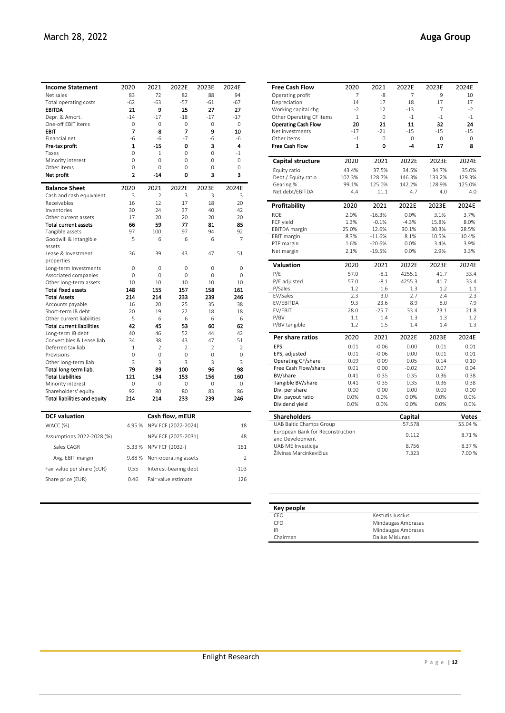| <b>Income Statement</b>                          | 2020                | 2021                 | 2022E                  | 2023E                | 2024E                |
|--------------------------------------------------|---------------------|----------------------|------------------------|----------------------|----------------------|
| Net sales                                        | 83                  | 72                   | 82                     | 88                   | 94                   |
| Total operating costs                            | $-62$               | $-63$                | $-57$                  | $-61$                | $-67$                |
| <b>EBITDA</b>                                    | 21                  | 9                    | 25                     | 27                   | 27                   |
| Depr. & Amort.                                   | $-14$               | $-17$                | $-18$                  | $-17$                | $-17$                |
| One-off EBIT items                               | 0                   | $\mathbf 0$          | 0                      | 0                    | $\circ$              |
| EBIT                                             | 7                   | -8                   | 7                      | 9                    | 10                   |
| Financial net                                    | $-6$                | $-6$                 | $-7$                   | $-6$                 | $-6$                 |
| Pre-tax profit                                   | $\mathbf{1}$        | $-15$                | 0                      | 3                    | 4                    |
| Taxes                                            | 0                   | $\mathbf{1}$         | 0                      | 0                    | $-1$                 |
| Minority interest                                | 0                   | 0                    | 0                      | $\Omega$             | 0                    |
| Other items                                      | 0<br>$\overline{2}$ | 0<br>$-14$           | 0<br>0                 | 0<br>3               | 0<br>3               |
| Net profit                                       |                     |                      |                        |                      |                      |
| <b>Balance Sheet</b>                             | 2020                | 2021                 | 2022E                  | 2023E                | 2024E                |
| Cash and cash equivalent                         | 3                   | $\overline{2}$       | 3                      | 3                    | 3                    |
| Receivables                                      | 16                  | 12                   | 17                     | 18                   | 20                   |
| Inventories                                      | 30                  | 24                   | 37                     | 40                   | 42                   |
| Other current assets                             | 17                  | 20<br>59             | 20<br>77               | 20                   | 20                   |
| <b>Total current assets</b>                      | 66<br>97            | 100                  | 97                     | 81<br>94             | 85<br>92             |
| Tangible assets<br>Goodwill & intangible         | 5                   | 6                    | 6                      | 6                    | 7                    |
| assets                                           |                     |                      |                        |                      |                      |
| Lease & Investment                               | 36                  | 39                   | 43                     | 47                   | 51                   |
| properties                                       |                     |                      |                        |                      |                      |
| Long-term Investments                            | 0                   | $\mathbf 0$          | 0                      | 0                    | 0                    |
| Associated companies                             | 0                   | 0                    | 0                      | 0                    | 0                    |
| Other long-term assets                           | 10                  | 10                   | 10                     | 10                   | 10                   |
| <b>Total fixed assets</b>                        | 148                 | 155                  | 157                    | 158                  | 161                  |
| <b>Total Assets</b>                              | 214                 | 214                  | 233                    | 239                  | 246                  |
| Accounts payable                                 | 16                  | 20                   | 25                     | 35                   | 38                   |
| Short-term IB debt                               | 20                  | 19                   | 22                     | 18                   | 18                   |
| Other current liabilities                        | 5                   | 6                    | 6                      | 6                    | 6                    |
| <b>Total current liabilities</b>                 | 42                  | 45                   | 53                     | 60                   | 62                   |
| Long-term IB debt                                | 40                  | 46                   | 52                     | 44                   | 42                   |
| Convertibles & Lease liab.<br>Deferred tax liab. | 34<br>$\mathbf{1}$  | 38<br>$\overline{2}$ | 43<br>$\overline{2}$   | 47<br>$\overline{2}$ | 51<br>$\overline{2}$ |
| Provisions                                       | 0                   | 0                    | 0                      | 0                    | 0                    |
| Other long-term liab.                            | 3                   | 3                    | 3                      | 3                    | 3                    |
| Total long-term liab.                            | 79                  | 89                   | 100                    | 96                   | 98                   |
| <b>Total Liabilities</b>                         | 121                 | 134                  | 153                    | 156                  | 160                  |
| Minority interest                                | 0                   | $\mathbf 0$          | 0                      | 0                    | 0                    |
| Shareholders' equity                             | 92                  | 80                   | 80                     | 83                   | 86                   |
| <b>Total liabilities and equity</b>              | 214                 | 214                  | 233                    | 239                  | 246                  |
|                                                  |                     |                      |                        |                      |                      |
| <b>DCF</b> valuation                             |                     |                      | Cash flow, mEUR        |                      |                      |
| WACC (%)                                         | 4.95 %              |                      | NPV FCF (2022-2024)    |                      | 18                   |
| Assumptions 2022-2028 (%)                        |                     |                      | NPV FCF (2025-2031)    |                      | 48                   |
| Sales CAGR                                       |                     |                      | 5.33 % NPV FCF (2032-) |                      | 161                  |
| Avg. EBIT margin                                 | 9.88%               |                      | Non-operating assets   |                      | $\overline{2}$       |
| Fair value per share (EUR)                       | 0.55                |                      | Interest-bearing debt  |                      | $-103$               |
| Share price (EUR)                                | 0.46                |                      | Fair value estimate    |                      | 126                  |

| <b>Free Cash Flow</b>                               | 2020         | 2021     | 2022E   | 2023E    | 2024E        |
|-----------------------------------------------------|--------------|----------|---------|----------|--------------|
| Operating profit                                    | 7            | -8       | 7       | 9        | 10           |
| Depreciation                                        | 14           | 17       | 18      | 17       | 17           |
| Working capital chg                                 | $-2$         | 12       | $-13$   | 7        | $-2$         |
| Other Operating CF items                            | $\mathbf{1}$ | 0        | $-1$    | $-1$     | $-1$         |
| <b>Operating Cash Flow</b>                          | 20           | 21       | 11      | 32       | 24           |
| Net investments                                     | $-17$        | $-21$    | $-15$   | $-15$    | $-15$        |
| Other items                                         | $-1$         | $\Omega$ | 0       | $\Omega$ | 0            |
| Free Cash Flow                                      | $\mathbf{1}$ | 0        | $-4$    | 17       | 8            |
| Capital structure                                   | 2020         | 2021     | 2022E   | 2023E    | 2024E        |
| Equity ratio                                        | 43.4%        | 37.5%    | 34.5%   | 34.7%    | 35.0%        |
| Debt / Equity ratio                                 | 102.3%       | 128.7%   | 146.3%  | 133.2%   | 129.3%       |
| Gearing %                                           | 99.1%        | 125.0%   | 142.2%  | 128.9%   | 125.0%       |
| Net debt/EBITDA                                     | 4.4          | 11.1     | 4.7     | 4.0      | 4.0          |
| Profitability                                       | 2020         | 2021     | 2022E   | 2023E    | 2024E        |
| ROE                                                 | 2.0%         | $-16.3%$ | 0.0%    | 3.1%     | 3.7%         |
| FCF yield                                           | 1.3%         | $-0.1%$  | $-4.3%$ | 15.8%    | 8.0%         |
| EBITDA margin                                       | 25.0%        | 12.6%    | 30.1%   | 30.3%    | 28.5%        |
| <b>EBIT margin</b>                                  | 8.3%         | $-11.6%$ | 8.1%    | 10.5%    | 10.4%        |
| PTP margin                                          | 1.6%         | $-20.6%$ | 0.0%    | 3.4%     | 3.9%         |
| Net margin                                          | 2.1%         | $-19.5%$ | 0.0%    | 2.9%     | 3.3%         |
| Valuation                                           | 2020         | 2021     | 2022E   | 2023E    | 2024E        |
| P/E                                                 | 57.0         | $-8.1$   | 4255.1  | 41.7     | 33.4         |
| P/E adjusted                                        | 57.0         | $-8.1$   | 4255.3  | 41.7     | 33.4         |
| P/Sales                                             | 1.2          | 1.6      | 1.3     | 1.2      | 1.1          |
| EV/Sales                                            | 2.3          | 3.0      | 2.7     | 2.4      | 2.3          |
| EV/EBITDA                                           | 9.3          | 23.6     | 8.9     | 8.0      | 7.9          |
| EV/EBIT                                             | 28.0         | $-25.7$  | 33.4    | 23.1     | 21.8         |
| P/BV                                                | 1.1          | 1.4      | 1.3     | 1.3      | 1.2          |
| P/BV tangible                                       | 1.2          | 1.5      | 1.4     | 1.4      | 1.3          |
| Per share ratios                                    | 2020         | 2021     | 2022E   | 2023E    | 2024E        |
| EPS                                                 | 0.01         | $-0.06$  | 0.00    | 0.01     | 0.01         |
| EPS, adjusted                                       | 0.01         | $-0.06$  | 0.00    | 0.01     | 0.01         |
| Operating CF/share                                  | 0.09         | 0.09     | 0.05    | 0.14     | 0.10         |
| Free Cash Flow/share                                | 0.01         | 0.00     | $-0.02$ | 0.07     | 0.04         |
| BV/share                                            | 0.41         | 0.35     | 0.35    | 0.36     | 0.38         |
| Tangible BV/share                                   | 0.41         | 0.35     | 0.35    | 0.36     | 0.38         |
| Div. per share                                      | 0.00         | 0.00     | 0.00    | 0.00     | 0.00         |
| Div. payout ratio                                   | 0.0%         | 0.0%     | 0.0%    | 0.0%     | 0.0%         |
| Dividend yield                                      | 0.0%         | 0.0%     | 0.0%    | 0.0%     | 0.0%         |
| <b>Shareholders</b>                                 |              |          | Capital |          | <b>Votes</b> |
| UAB Baltic Champs Group                             |              |          | 57.578  |          | 55.04%       |
| European Bank for Reconstruction<br>and Development |              |          | 9.112   |          | 8.71%        |
| UAB ME Investicija                                  |              |          | 8.756   |          | 8.37%        |
| Žilvinas Marcinkevičius                             |              |          | 7.323   |          | 7.00%        |
|                                                     |              |          |         |          |              |

| Key people |                    |
|------------|--------------------|
| CEO        | Kestutis Juscius   |
| CEO        | Mindaugas Ambrasas |
| IR         | Mindaugas Ambrasas |
| Chairman   | Dalius Misiunas    |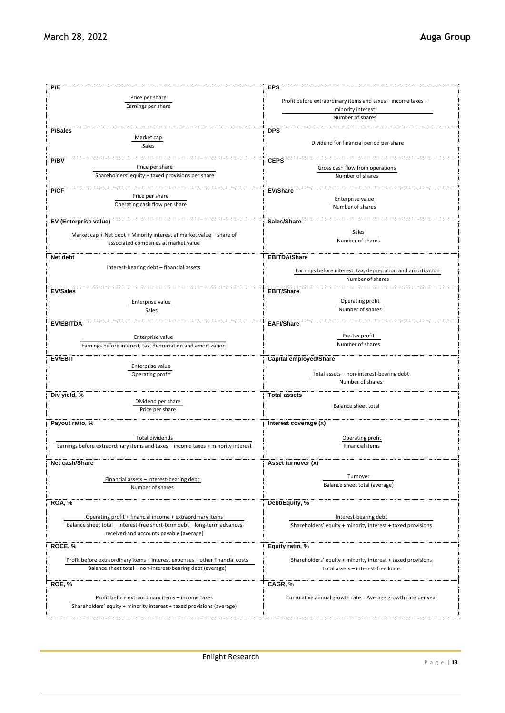| P/E                                                                              | <b>EPS</b>                                                   |
|----------------------------------------------------------------------------------|--------------------------------------------------------------|
|                                                                                  |                                                              |
| Price per share                                                                  | Profit before extraordinary items and taxes - income taxes + |
| Earnings per share                                                               | minority interest                                            |
|                                                                                  | Number of shares                                             |
|                                                                                  |                                                              |
| <b>P/Sales</b><br>Market cap                                                     | <b>DPS</b>                                                   |
| Sales                                                                            | Dividend for financial period per share                      |
|                                                                                  |                                                              |
| P/BV                                                                             | <b>CEPS</b>                                                  |
| Price per share                                                                  | Gross cash flow from operations                              |
| Shareholders' equity + taxed provisions per share                                | Number of shares                                             |
|                                                                                  |                                                              |
| P/CF<br>Price per share                                                          | <b>EV/Share</b>                                              |
| Operating cash flow per share                                                    | Enterprise value<br>Number of shares                         |
|                                                                                  |                                                              |
| EV (Enterprise value)                                                            | Sales/Share                                                  |
|                                                                                  | Sales                                                        |
| Market cap + Net debt + Minority interest at market value - share of             | Number of shares                                             |
| associated companies at market value                                             |                                                              |
| Net debt                                                                         | <b>EBITDA/Share</b>                                          |
|                                                                                  |                                                              |
| Interest-bearing debt - financial assets                                         | Earnings before interest, tax, depreciation and amortization |
|                                                                                  | Number of shares                                             |
| <b>EV/Sales</b>                                                                  | <b>EBIT/Share</b>                                            |
|                                                                                  | Operating profit                                             |
| Enterprise value                                                                 | Number of shares                                             |
| Sales                                                                            |                                                              |
| <b>EV/EBITDA</b>                                                                 | <b>EAFI/Share</b>                                            |
|                                                                                  |                                                              |
| Enterprise value                                                                 | Pre-tax profit<br>Number of shares                           |
| Earnings before interest, tax, depreciation and amortization                     |                                                              |
| <b>EV/EBIT</b>                                                                   | <b>Capital employed/Share</b>                                |
| Enterprise value                                                                 |                                                              |
| Operating profit                                                                 | Total assets - non-interest-bearing debt                     |
|                                                                                  | Number of shares                                             |
| Div yield, %                                                                     | <b>Total assets</b>                                          |
| Dividend per share                                                               |                                                              |
| Price per share                                                                  | Balance sheet total                                          |
| Payout ratio, %                                                                  | Interest coverage (x)                                        |
|                                                                                  |                                                              |
| Total dividends                                                                  | Operating profit                                             |
| Earnings before extraordinary items and taxes - income taxes + minority interest | Financial items                                              |
|                                                                                  |                                                              |
| Net cash/Share                                                                   | Asset turnover (x)                                           |
|                                                                                  |                                                              |
| Financial assets - interest-bearing debt                                         | Turnover                                                     |
| Number of shares                                                                 | Balance sheet total (average)                                |
|                                                                                  |                                                              |
| <b>ROA, %</b>                                                                    | Debt/Equity, %                                               |
| Operating profit + financial income + extraordinary items                        | Interest-bearing debt                                        |
| Balance sheet total - interest-free short-term debt - long-term advances         | Shareholders' equity + minority interest + taxed provisions  |
| received and accounts payable (average)                                          |                                                              |
|                                                                                  |                                                              |
| ROCE, %                                                                          | Equity ratio, %                                              |
| Profit before extraordinary items + interest expenses + other financial costs    | Shareholders' equity + minority interest + taxed provisions  |
| Balance sheet total - non-interest-bearing debt (average)                        | Total assets - interest-free loans                           |
|                                                                                  |                                                              |
| ROE, %                                                                           | CAGR, %                                                      |
|                                                                                  |                                                              |
| Profit before extraordinary items - income taxes                                 | Cumulative annual growth rate = Average growth rate per year |
| Shareholders' equity + minority interest + taxed provisions (average)            |                                                              |
|                                                                                  |                                                              |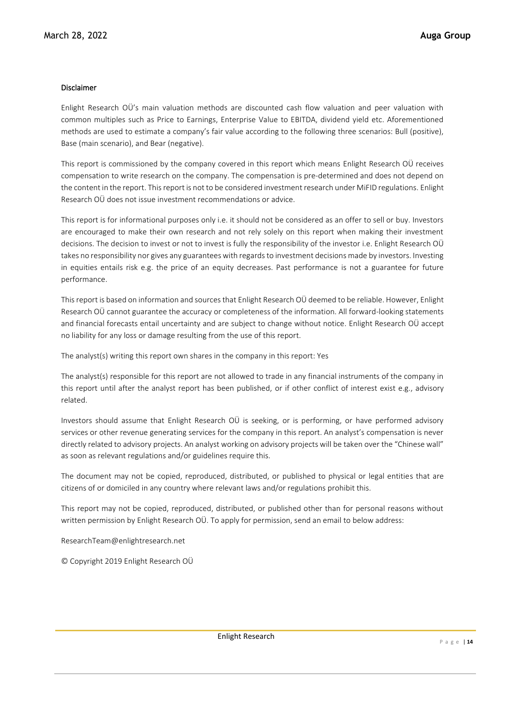### Disclaimer

Enlight Research OÜ's main valuation methods are discounted cash flow valuation and peer valuation with common multiples such as Price to Earnings, Enterprise Value to EBITDA, dividend yield etc. Aforementioned methods are used to estimate a company's fair value according to the following three scenarios: Bull (positive), Base (main scenario), and Bear (negative).

This report is commissioned by the company covered in this report which means Enlight Research OÜ receives compensation to write research on the company. The compensation is pre-determined and does not depend on the content in the report. This report is not to be considered investment research under MiFID regulations. Enlight Research OÜ does not issue investment recommendations or advice.

This report is for informational purposes only i.e. it should not be considered as an offer to sell or buy. Investors are encouraged to make their own research and not rely solely on this report when making their investment decisions. The decision to invest or not to invest is fully the responsibility of the investor i.e. Enlight Research OÜ takes no responsibility nor gives any guarantees with regards to investment decisions made by investors. Investing in equities entails risk e.g. the price of an equity decreases. Past performance is not a guarantee for future performance.

This report is based on information and sources that Enlight Research OÜ deemed to be reliable. However, Enlight Research OÜ cannot guarantee the accuracy or completeness of the information. All forward-looking statements and financial forecasts entail uncertainty and are subject to change without notice. Enlight Research OÜ accept no liability for any loss or damage resulting from the use of this report.

The analyst(s) writing this report own shares in the company in this report: Yes

The analyst(s) responsible for this report are not allowed to trade in any financial instruments of the company in this report until after the analyst report has been published, or if other conflict of interest exist e.g., advisory related.

Investors should assume that Enlight Research OÜ is seeking, or is performing, or have performed advisory services or other revenue generating services for the company in this report. An analyst's compensation is never directly related to advisory projects. An analyst working on advisory projects will be taken over the "Chinese wall" as soon as relevant regulations and/or guidelines require this.

The document may not be copied, reproduced, distributed, or published to physical or legal entities that are citizens of or domiciled in any country where relevant laws and/or regulations prohibit this.

This report may not be copied, reproduced, distributed, or published other than for personal reasons without written permission by Enlight Research OÜ. To apply for permission, send an email to below address:

ResearchTeam@enlightresearch.net

© Copyright 2019 Enlight Research OÜ